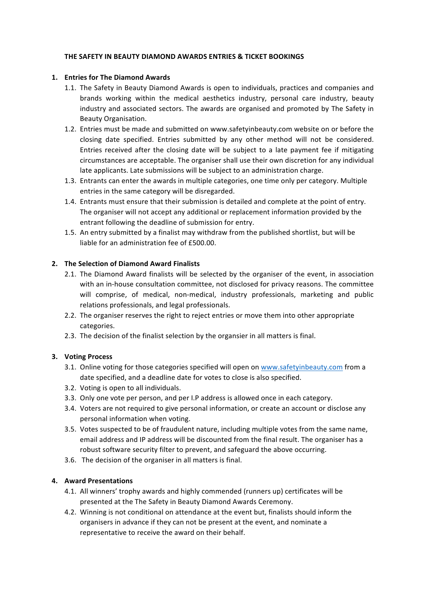## **THE SAFETY IN BEAUTY DIAMOND AWARDS ENTRIES & TICKET BOOKINGS**

### 1. **Entries for The Diamond Awards**

- 1.1. The Safety in Beauty Diamond Awards is open to individuals, practices and companies and brands working within the medical aesthetics industry, personal care industry, beauty industry and associated sectors. The awards are organised and promoted by The Safety in Beauty Organisation.
- 1.2. Entries must be made and submitted on www.safetyinbeauty.com website on or before the closing date specified. Entries submitted by any other method will not be considered. Entries received after the closing date will be subject to a late payment fee if mitigating circumstances are acceptable. The organiser shall use their own discretion for any individual late applicants. Late submissions will be subject to an administration charge.
- 1.3. Entrants can enter the awards in multiple categories, one time only per category. Multiple entries in the same category will be disregarded.
- 1.4. Entrants must ensure that their submission is detailed and complete at the point of entry. The organiser will not accept any additional or replacement information provided by the entrant following the deadline of submission for entry.
- 1.5. An entry submitted by a finalist may withdraw from the published shortlist, but will be liable for an administration fee of £500.00.

## 2. **The Selection of Diamond Award Finalists**

- 2.1. The Diamond Award finalists will be selected by the organiser of the event, in association with an in-house consultation committee, not disclosed for privacy reasons. The committee will comprise, of medical, non-medical, industry professionals, marketing and public relations professionals, and legal professionals.
- 2.2. The organiser reserves the right to reject entries or move them into other appropriate categories.
- 2.3. The decision of the finalist selection by the organsier in all matters is final.

# **3. Voting Process**

- 3.1. Online voting for those categories specified will open on www.safetyinbeauty.com from a date specified, and a deadline date for votes to close is also specified.
- 3.2. Voting is open to all individuals.
- 3.3. Only one vote per person, and per I.P address is allowed once in each category.
- 3.4. Voters are not required to give personal information, or create an account or disclose any personal information when voting.
- 3.5. Votes suspected to be of fraudulent nature, including multiple votes from the same name, email address and IP address will be discounted from the final result. The organiser has a robust software security filter to prevent, and safeguard the above occurring.
- 3.6. The decision of the organiser in all matters is final.

# **4. Award Presentations**

- 4.1. All winners' trophy awards and highly commended (runners up) certificates will be presented at the The Safety in Beauty Diamond Awards Ceremony.
- 4.2. Winning is not conditional on attendance at the event but, finalists should inform the organisers in advance if they can not be present at the event, and nominate a representative to receive the award on their behalf.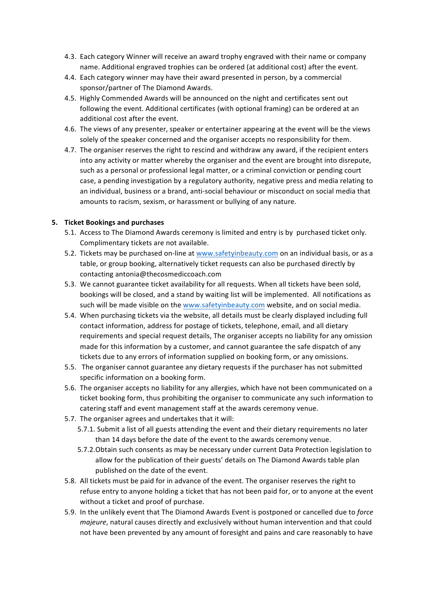- 4.3. Each category Winner will receive an award trophy engraved with their name or company name. Additional engraved trophies can be ordered (at additional cost) after the event.
- 4.4. Each category winner may have their award presented in person, by a commercial sponsor/partner of The Diamond Awards.
- 4.5. Highly Commended Awards will be announced on the night and certificates sent out following the event. Additional certificates (with optional framing) can be ordered at an additional cost after the event.
- 4.6. The views of any presenter, speaker or entertainer appearing at the event will be the views solely of the speaker concerned and the organiser accepts no responsibility for them.
- 4.7. The organiser reserves the right to rescind and withdraw any award, if the recipient enters into any activity or matter whereby the organiser and the event are brought into disrepute, such as a personal or professional legal matter, or a criminal conviction or pending court case, a pending investigation by a regulatory authority, negative press and media relating to an individual, business or a brand, anti-social behaviour or misconduct on social media that amounts to racism, sexism, or harassment or bullying of any nature.

#### **5. Ticket Bookings and purchases**

- 5.1. Access to The Diamond Awards ceremony is limited and entry is by purchased ticket only. Complimentary tickets are not available.
- 5.2. Tickets may be purchased on-line at www.safetyinbeauty.com on an individual basis, or as a table, or group booking, alternatively ticket requests can also be purchased directly by contacting antonia@thecosmediccoach.com
- 5.3. We cannot guarantee ticket availability for all requests. When all tickets have been sold, bookings will be closed, and a stand by waiting list will be implemented. All notifications as such will be made visible on the www.safetyinbeauty.com website, and on social media.
- 5.4. When purchasing tickets via the website, all details must be clearly displayed including full contact information, address for postage of tickets, telephone, email, and all dietary requirements and special request details, The organiser accepts no liability for any omission made for this information by a customer, and cannot guarantee the safe dispatch of any tickets due to any errors of information supplied on booking form, or any omissions.
- 5.5. The organiser cannot guarantee any dietary requests if the purchaser has not submitted specific information on a booking form.
- 5.6. The organiser accepts no liability for any allergies, which have not been communicated on a ticket booking form, thus prohibiting the organiser to communicate any such information to catering staff and event management staff at the awards ceremony venue.
- 5.7. The organiser agrees and undertakes that it will:
	- 5.7.1. Submit a list of all guests attending the event and their dietary requirements no later than 14 days before the date of the event to the awards ceremony venue.
	- 5.7.2. Obtain such consents as may be necessary under current Data Protection legislation to allow for the publication of their guests' details on The Diamond Awards table plan published on the date of the event.
- 5.8. All tickets must be paid for in advance of the event. The organiser reserves the right to refuse entry to anyone holding a ticket that has not been paid for, or to anyone at the event without a ticket and proof of purchase.
- 5.9. In the unlikely event that The Diamond Awards Event is postponed or cancelled due to *force majeure*, natural causes directly and exclusively without human intervention and that could not have been prevented by any amount of foresight and pains and care reasonably to have